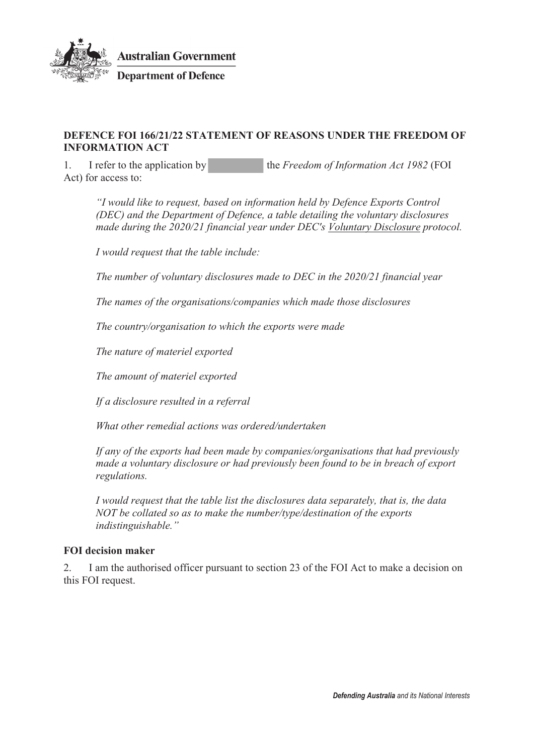

## **DEFENCE FOI 166/21/22 STATEMENT OF REASONS UNDER THE FREEDOM OF INFORMATION ACT**

1. I refer to the application by the *Freedom of Information Act 1982* (FOI Act) for access to:

*"I would like to request, based on information held by Defence Exports Control (DEC) and the Department of Defence, a table detailing the voluntary disclosures made during the 2020/21 financial year under DEC's Voluntary Disclosure protocol.*

*I would request that the table include:*

*The number of voluntary disclosures made to DEC in the 2020/21 financial year*

*The names of the organisations/companies which made those disclosures*

*The country/organisation to which the exports were made*

*The nature of materiel exported*

*The amount of materiel exported*

*If a disclosure resulted in a referral*

*What other remedial actions was ordered/undertaken*

*If any of the exports had been made by companies/organisations that had previously made a voluntary disclosure or had previously been found to be in breach of export regulations.*

*I would request that the table list the disclosures data separately, that is, the data NOT be collated so as to make the number/type/destination of the exports indistinguishable."* 

### **FOI decision maker**

2. I am the authorised officer pursuant to section 23 of the FOI Act to make a decision on this FOI request.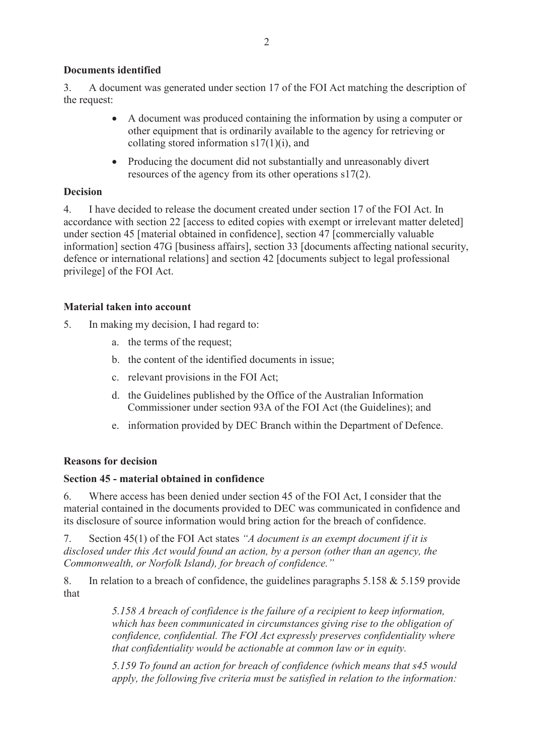## **Documents identified**

3. A document was generated under section 17 of the FOI Act matching the description of the request:

- A document was produced containing the information by using a computer or other equipment that is ordinarily available to the agency for retrieving or collating stored information  $s17(1)(i)$ , and
- Producing the document did not substantially and unreasonably divert resources of the agency from its other operations s17(2).

## **Decision**

4. I have decided to release the document created under section 17 of the FOI Act. In accordance with section 22 [access to edited copies with exempt or irrelevant matter deleted] under section 45 [material obtained in confidence], section 47 [commercially valuable information] section 47G [business affairs], section 33 [documents affecting national security, defence or international relations] and section 42 [documents subject to legal professional privilege] of the FOI Act.

## **Material taken into account**

- 5. In making my decision, I had regard to:
	- a. the terms of the request;
	- b. the content of the identified documents in issue;
	- c. relevant provisions in the FOI Act;
	- d. the Guidelines published by the Office of the Australian Information Commissioner under section 93A of the FOI Act (the Guidelines); and
	- e. information provided by DEC Branch within the Department of Defence.

### **Reasons for decision**

### **Section 45 - material obtained in confidence**

6. Where access has been denied under section 45 of the FOI Act, I consider that the material contained in the documents provided to DEC was communicated in confidence and its disclosure of source information would bring action for the breach of confidence.

7. Section 45(1) of the FOI Act states *"A document is an exempt document if it is disclosed under this Act would found an action, by a person (other than an agency, the Commonwealth, or Norfolk Island), for breach of confidence."*

8. In relation to a breach of confidence, the guidelines paragraphs 5.158 & 5.159 provide that

> *5.158 A breach of confidence is the failure of a recipient to keep information, which has been communicated in circumstances giving rise to the obligation of confidence, confidential. The FOI Act expressly preserves confidentiality where that confidentiality would be actionable at common law or in equity.*

> *5.159 To found an action for breach of confidence (which means that s45 would apply, the following five criteria must be satisfied in relation to the information:*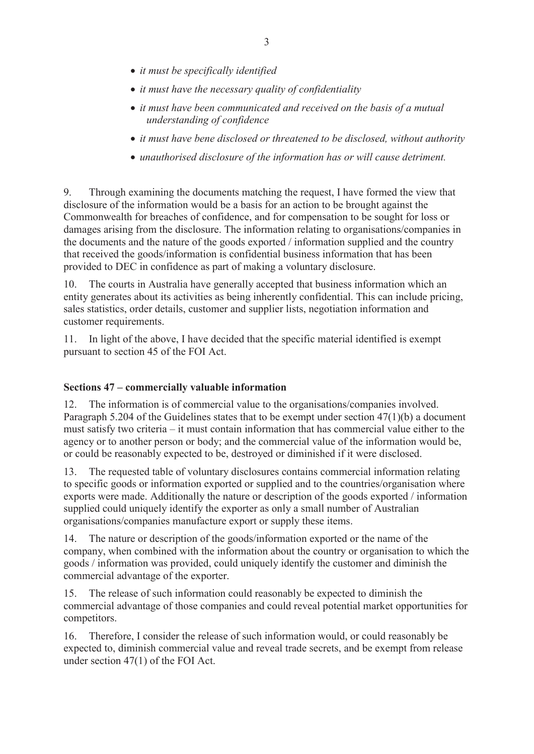- x *it must be specifically identified*
- *it must have the necessary quality of confidentiality*
- *it must have been communicated and received on the basis of a mutual understanding of confidence*
- *it must have bene disclosed or threatened to be disclosed, without authority*
- x *unauthorised disclosure of the information has or will cause detriment.*

9. Through examining the documents matching the request, I have formed the view that disclosure of the information would be a basis for an action to be brought against the Commonwealth for breaches of confidence, and for compensation to be sought for loss or damages arising from the disclosure. The information relating to organisations/companies in the documents and the nature of the goods exported / information supplied and the country that received the goods/information is confidential business information that has been provided to DEC in confidence as part of making a voluntary disclosure.

10. The courts in Australia have generally accepted that business information which an entity generates about its activities as being inherently confidential. This can include pricing, sales statistics, order details, customer and supplier lists, negotiation information and customer requirements.

11. In light of the above, I have decided that the specific material identified is exempt pursuant to section 45 of the FOI Act.

## **Sections 47 – commercially valuable information**

12. The information is of commercial value to the organisations/companies involved. Paragraph 5.204 of the Guidelines states that to be exempt under section 47(1)(b) a document must satisfy two criteria – it must contain information that has commercial value either to the agency or to another person or body; and the commercial value of the information would be, or could be reasonably expected to be, destroyed or diminished if it were disclosed.

13. The requested table of voluntary disclosures contains commercial information relating to specific goods or information exported or supplied and to the countries/organisation where exports were made. Additionally the nature or description of the goods exported / information supplied could uniquely identify the exporter as only a small number of Australian organisations/companies manufacture export or supply these items.

14. The nature or description of the goods/information exported or the name of the company, when combined with the information about the country or organisation to which the goods / information was provided, could uniquely identify the customer and diminish the commercial advantage of the exporter.

15. The release of such information could reasonably be expected to diminish the commercial advantage of those companies and could reveal potential market opportunities for competitors.

16. Therefore, I consider the release of such information would, or could reasonably be expected to, diminish commercial value and reveal trade secrets, and be exempt from release under section 47(1) of the FOI Act.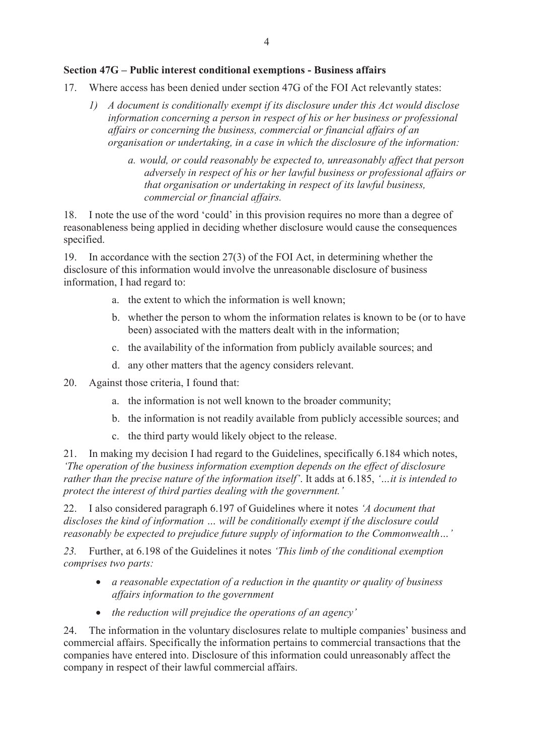### **Section 47G – Public interest conditional exemptions - Business affairs**

- 17. Where access has been denied under section 47G of the FOI Act relevantly states:
	- *1) A document is conditionally exempt if its disclosure under this Act would disclose information concerning a person in respect of his or her business or professional affairs or concerning the business, commercial or financial affairs of an organisation or undertaking, in a case in which the disclosure of the information:* 
		- *a. would, or could reasonably be expected to, unreasonably affect that person adversely in respect of his or her lawful business or professional affairs or that organisation or undertaking in respect of its lawful business, commercial or financial affairs.*

18. I note the use of the word 'could' in this provision requires no more than a degree of reasonableness being applied in deciding whether disclosure would cause the consequences specified.

19. In accordance with the section 27(3) of the FOI Act, in determining whether the disclosure of this information would involve the unreasonable disclosure of business information, I had regard to:

- a. the extent to which the information is well known;
- b. whether the person to whom the information relates is known to be (or to have been) associated with the matters dealt with in the information;
- c. the availability of the information from publicly available sources; and
- d. any other matters that the agency considers relevant.
- 20. Against those criteria, I found that:
	- a. the information is not well known to the broader community;
	- b. the information is not readily available from publicly accessible sources; and
	- c. the third party would likely object to the release.

21. In making my decision I had regard to the Guidelines, specifically 6.184 which notes, *'The operation of the business information exemption depends on the effect of disclosure rather than the precise nature of the information itself'*. It adds at 6.185, *'…it is intended to protect the interest of third parties dealing with the government.'*

22. I also considered paragraph 6.197 of Guidelines where it notes *'A document that discloses the kind of information … will be conditionally exempt if the disclosure could reasonably be expected to prejudice future supply of information to the Commonwealth…'*

*23.* Further, at 6.198 of the Guidelines it notes *'This limb of the conditional exemption comprises two parts:* 

- x *a reasonable expectation of a reduction in the quantity or quality of business affairs information to the government*
- the reduction will prejudice the operations of an agency'

24. The information in the voluntary disclosures relate to multiple companies' business and commercial affairs. Specifically the information pertains to commercial transactions that the companies have entered into. Disclosure of this information could unreasonably affect the company in respect of their lawful commercial affairs.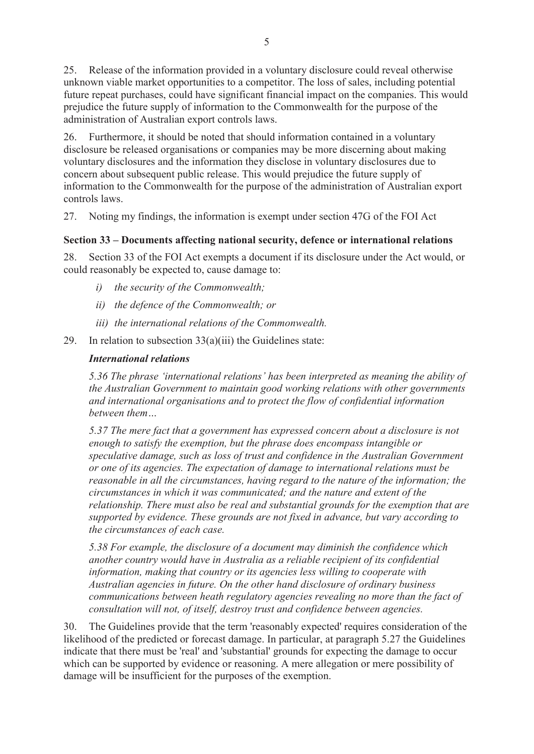25. Release of the information provided in a voluntary disclosure could reveal otherwise unknown viable market opportunities to a competitor. The loss of sales, including potential future repeat purchases, could have significant financial impact on the companies. This would prejudice the future supply of information to the Commonwealth for the purpose of the administration of Australian export controls laws.

26. Furthermore, it should be noted that should information contained in a voluntary disclosure be released organisations or companies may be more discerning about making voluntary disclosures and the information they disclose in voluntary disclosures due to concern about subsequent public release. This would prejudice the future supply of information to the Commonwealth for the purpose of the administration of Australian export controls laws.

27. Noting my findings, the information is exempt under section 47G of the FOI Act

# **Section 33 – Documents affecting national security, defence or international relations**

28. Section 33 of the FOI Act exempts a document if its disclosure under the Act would, or could reasonably be expected to, cause damage to:

- *i) the security of the Commonwealth;*
- *ii) the defence of the Commonwealth; or*
- *iii) the international relations of the Commonwealth.*
- 29. In relation to subsection 33(a)(iii) the Guidelines state:

# *International relations*

*5.36 The phrase 'international relations' has been interpreted as meaning the ability of the Australian Government to maintain good working relations with other governments and international organisations and to protect the flow of confidential information between them…* 

*5.37 The mere fact that a government has expressed concern about a disclosure is not enough to satisfy the exemption, but the phrase does encompass intangible or speculative damage, such as loss of trust and confidence in the Australian Government or one of its agencies. The expectation of damage to international relations must be reasonable in all the circumstances, having regard to the nature of the information; the circumstances in which it was communicated; and the nature and extent of the relationship. There must also be real and substantial grounds for the exemption that are supported by evidence. These grounds are not fixed in advance, but vary according to the circumstances of each case.* 

*5.38 For example, the disclosure of a document may diminish the confidence which another country would have in Australia as a reliable recipient of its confidential information, making that country or its agencies less willing to cooperate with Australian agencies in future. On the other hand disclosure of ordinary business communications between heath regulatory agencies revealing no more than the fact of consultation will not, of itself, destroy trust and confidence between agencies.* 

30. The Guidelines provide that the term 'reasonably expected' requires consideration of the likelihood of the predicted or forecast damage. In particular, at paragraph 5.27 the Guidelines indicate that there must be 'real' and 'substantial' grounds for expecting the damage to occur which can be supported by evidence or reasoning. A mere allegation or mere possibility of damage will be insufficient for the purposes of the exemption.